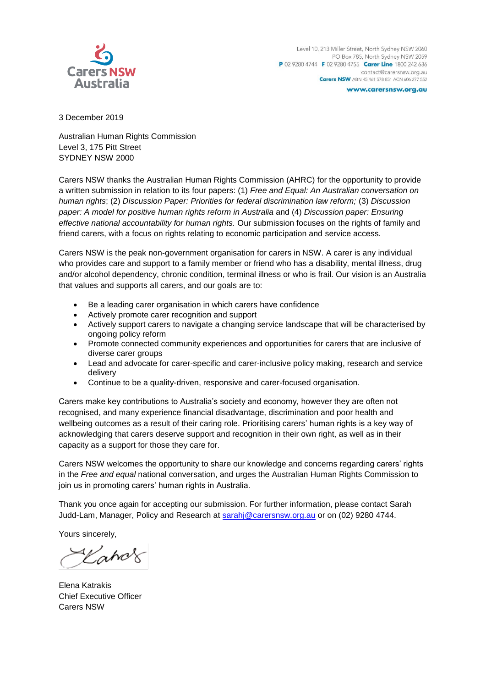

3 December 2019

Australian Human Rights Commission Level 3, 175 Pitt Street SYDNEY NSW 2000

Carers NSW thanks the Australian Human Rights Commission (AHRC) for the opportunity to provide a written submission in relation to its four papers: (1) *Free and Equal: An Australian conversation on human rights*; (2) *Discussion Paper: Priorities for federal discrimination law reform;* (3) *Discussion paper: A model for positive human rights reform in Australia* and (4) *Discussion paper: Ensuring effective national accountability for human rights.* Our submission focuses on the rights of family and friend carers, with a focus on rights relating to economic participation and service access.

Carers NSW is the peak non-government organisation for carers in NSW. A carer is any individual who provides care and support to a family member or friend who has a disability, mental illness, drug and/or alcohol dependency, chronic condition, terminal illness or who is frail. Our vision is an Australia that values and supports all carers, and our goals are to:

- Be a leading carer organisation in which carers have confidence
- Actively promote carer recognition and support
- Actively support carers to navigate a changing service landscape that will be characterised by ongoing policy reform
- Promote connected community experiences and opportunities for carers that are inclusive of diverse carer groups
- Lead and advocate for carer-specific and carer-inclusive policy making, research and service delivery
- Continue to be a quality-driven, responsive and carer-focused organisation.

Carers make key contributions to Australia's society and economy, however they are often not recognised, and many experience financial disadvantage, discrimination and poor health and wellbeing outcomes as a result of their caring role. Prioritising carers' human rights is a key way of acknowledging that carers deserve support and recognition in their own right, as well as in their capacity as a support for those they care for.

Carers NSW welcomes the opportunity to share our knowledge and concerns regarding carers' rights in the *Free and equal* national conversation, and urges the Australian Human Rights Commission to join us in promoting carers' human rights in Australia.

Thank you once again for accepting our submission. For further information, please contact Sarah Judd-Lam, Manager, Policy and Research at [sarahj@carersnsw.org.au](mailto:sarahj@carersnsw.org.au) or on (02) 9280 4744.

Yours sincerely,

Kahor

Elena Katrakis Chief Executive Officer Carers NSW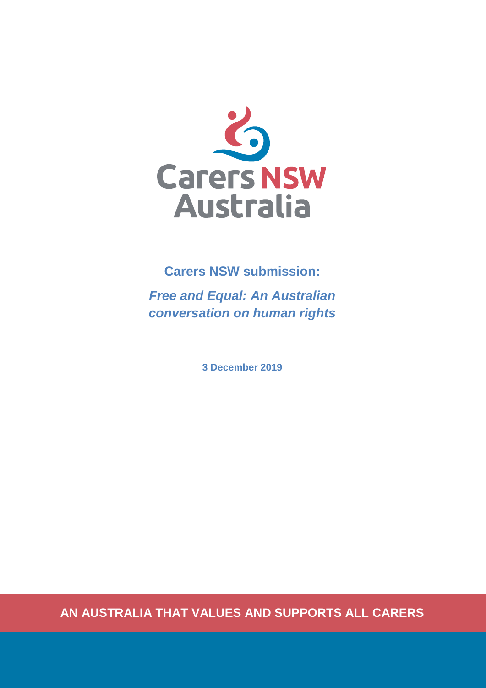

## **Carers NSW submission:**

*Free and Equal: An Australian conversation on human rights*

**3 December 2019**

**AN AUSTRALIA THAT VALUES AND SUPPORTS ALL CARERS**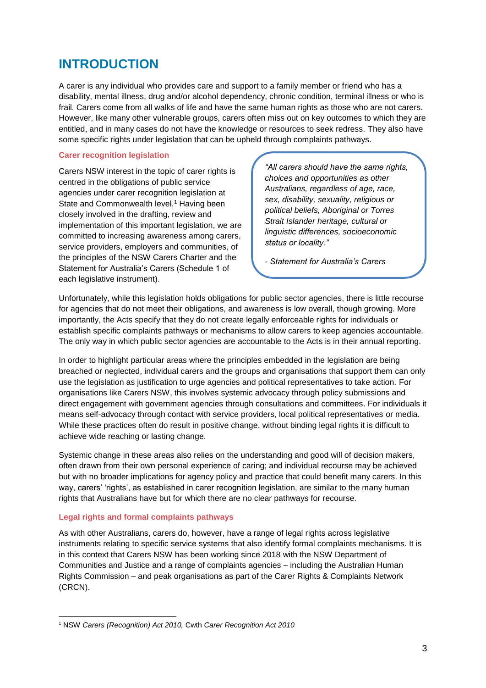## **INTRODUCTION**

A carer is any individual who provides care and support to a family member or friend who has a disability, mental illness, drug and/or alcohol dependency, chronic condition, terminal illness or who is frail. Carers come from all walks of life and have the same human rights as those who are not carers. However, like many other vulnerable groups, carers often miss out on key outcomes to which they are entitled, and in many cases do not have the knowledge or resources to seek redress. They also have some specific rights under legislation that can be upheld through complaints pathways.

#### **Carer recognition legislation**

Carers NSW interest in the topic of carer rights is centred in the obligations of public service agencies under carer recognition legislation at State and Commonwealth level.<sup>1</sup> Having been closely involved in the drafting, review and implementation of this important legislation, we are committed to increasing awareness among carers, service providers, employers and communities, of the principles of the NSW Carers Charter and the Statement for Australia's Carers (Schedule 1 of each legislative instrument).

*"All carers should have the same rights, choices and opportunities as other Australians, regardless of age, race, sex, disability, sexuality, religious or political beliefs, Aboriginal or Torres Strait Islander heritage, cultural or linguistic differences, socioeconomic status or locality."*

*- Statement for Australia's Carers*

Unfortunately, while this legislation holds obligations for public sector agencies, there is little recourse for agencies that do not meet their obligations, and awareness is low overall, though growing. More importantly, the Acts specify that they do not create legally enforceable rights for individuals or establish specific complaints pathways or mechanisms to allow carers to keep agencies accountable. The only way in which public sector agencies are accountable to the Acts is in their annual reporting.

In order to highlight particular areas where the principles embedded in the legislation are being breached or neglected, individual carers and the groups and organisations that support them can only use the legislation as justification to urge agencies and political representatives to take action. For organisations like Carers NSW, this involves systemic advocacy through policy submissions and direct engagement with government agencies through consultations and committees. For individuals it means self-advocacy through contact with service providers, local political representatives or media. While these practices often do result in positive change, without binding legal rights it is difficult to achieve wide reaching or lasting change.

Systemic change in these areas also relies on the understanding and good will of decision makers, often drawn from their own personal experience of caring; and individual recourse may be achieved but with no broader implications for agency policy and practice that could benefit many carers. In this way, carers' 'rights', as established in carer recognition legislation, are similar to the many human rights that Australians have but for which there are no clear pathways for recourse.

#### **Legal rights and formal complaints pathways**

As with other Australians, carers do, however, have a range of legal rights across legislative instruments relating to specific service systems that also identify formal complaints mechanisms. It is in this context that Carers NSW has been working since 2018 with the NSW Department of Communities and Justice and a range of complaints agencies – including the Australian Human Rights Commission – and peak organisations as part of the Carer Rights & Complaints Network (CRCN).

<sup>-</sup><sup>1</sup> NSW *Carers (Recognition) Act 2010,* Cwth *Carer Recognition Act 2010*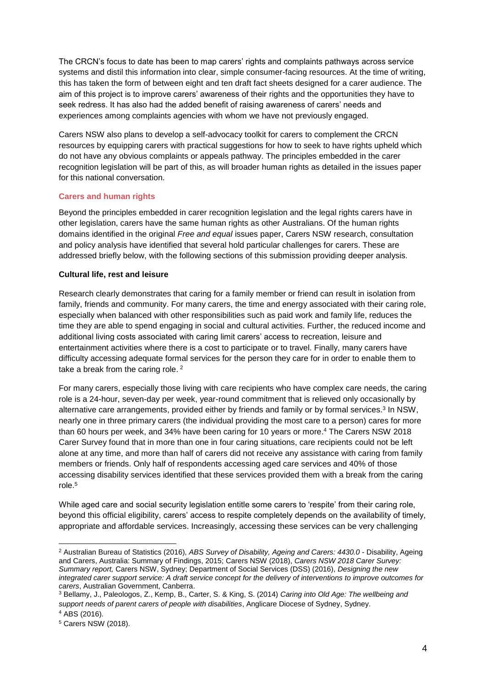The CRCN's focus to date has been to map carers' rights and complaints pathways across service systems and distil this information into clear, simple consumer-facing resources. At the time of writing, this has taken the form of between eight and ten draft fact sheets designed for a carer audience. The aim of this project is to improve carers' awareness of their rights and the opportunities they have to seek redress. It has also had the added benefit of raising awareness of carers' needs and experiences among complaints agencies with whom we have not previously engaged.

Carers NSW also plans to develop a self-advocacy toolkit for carers to complement the CRCN resources by equipping carers with practical suggestions for how to seek to have rights upheld which do not have any obvious complaints or appeals pathway. The principles embedded in the carer recognition legislation will be part of this, as will broader human rights as detailed in the issues paper for this national conversation.

#### **Carers and human rights**

Beyond the principles embedded in carer recognition legislation and the legal rights carers have in other legislation, carers have the same human rights as other Australians. Of the human rights domains identified in the original *Free and equal* issues paper, Carers NSW research, consultation and policy analysis have identified that several hold particular challenges for carers. These are addressed briefly below, with the following sections of this submission providing deeper analysis.

#### **Cultural life, rest and leisure**

Research clearly demonstrates that caring for a family member or friend can result in isolation from family, friends and community. For many carers, the time and energy associated with their caring role, especially when balanced with other responsibilities such as paid work and family life, reduces the time they are able to spend engaging in social and cultural activities. Further, the reduced income and additional living costs associated with caring limit carers' access to recreation, leisure and entertainment activities where there is a cost to participate or to travel. Finally, many carers have difficulty accessing adequate formal services for the person they care for in order to enable them to take a break from the caring role.<sup>2</sup>

For many carers, especially those living with care recipients who have complex care needs, the caring role is a 24-hour, seven-day per week, year-round commitment that is relieved only occasionally by alternative care arrangements, provided either by friends and family or by formal services.<sup>3</sup> In NSW, nearly one in three primary carers (the individual providing the most care to a person) cares for more than 60 hours per week, and 34% have been caring for 10 years or more. <sup>4</sup> The Carers NSW 2018 Carer Survey found that in more than one in four caring situations, care recipients could not be left alone at any time, and more than half of carers did not receive any assistance with caring from family members or friends. Only half of respondents accessing aged care services and 40% of those accessing disability services identified that these services provided them with a break from the caring role. 5

While aged care and social security legislation entitle some carers to 'respite' from their caring role, beyond this official eligibility, carers' access to respite completely depends on the availability of timely, appropriate and affordable services. Increasingly, accessing these services can be very challenging

 $\overline{a}$ 

<sup>2</sup> Australian Bureau of Statistics (2016), *ABS Survey of Disability, Ageing and Carers: 4430.0* - Disability, Ageing and Carers, Australia: Summary of Findings, 2015; Carers NSW (2018), *Carers NSW 2018 Carer Survey: Summary report,* Carers NSW, Sydney; Department of Social Services (DSS) (2016), *Designing the new integrated carer support service: A draft service concept for the delivery of interventions to improve outcomes for carers*, Australian Government, Canberra.

<sup>3</sup> Bellamy, J., Paleologos, Z., Kemp, B., Carter, S. & King, S. (2014) *Caring into Old Age: The wellbeing and support needs of parent carers of people with disabilities*, Anglicare Diocese of Sydney, Sydney. <sup>4</sup> ABS (2016).

<sup>5</sup> Carers NSW (2018).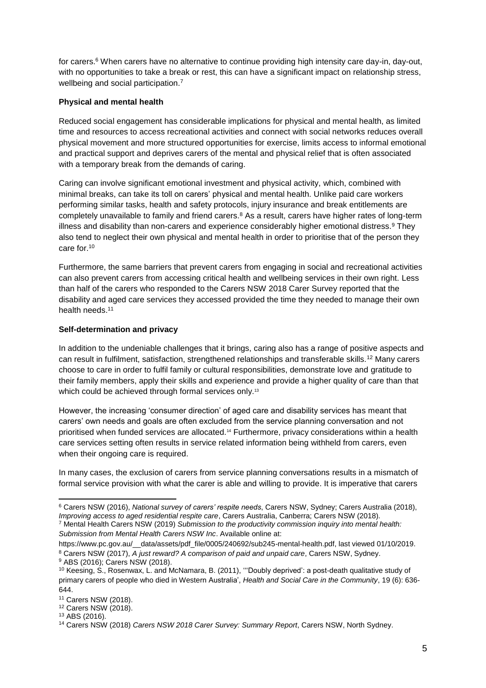for carers.<sup>6</sup> When carers have no alternative to continue providing high intensity care day-in, day-out, with no opportunities to take a break or rest, this can have a significant impact on relationship stress, wellbeing and social participation.<sup>7</sup>

#### **Physical and mental health**

Reduced social engagement has considerable implications for physical and mental health, as limited time and resources to access recreational activities and connect with social networks reduces overall physical movement and more structured opportunities for exercise, limits access to informal emotional and practical support and deprives carers of the mental and physical relief that is often associated with a temporary break from the demands of caring.

Caring can involve significant emotional investment and physical activity, which, combined with minimal breaks, can take its toll on carers' physical and mental health. Unlike paid care workers performing similar tasks, health and safety protocols, injury insurance and break entitlements are completely unavailable to family and friend carers.<sup>8</sup> As a result, carers have higher rates of long-term illness and disability than non-carers and experience considerably higher emotional distress.<sup>9</sup> They also tend to neglect their own physical and mental health in order to prioritise that of the person they care for.<sup>10</sup>

Furthermore, the same barriers that prevent carers from engaging in social and recreational activities can also prevent carers from accessing critical health and wellbeing services in their own right. Less than half of the carers who responded to the Carers NSW 2018 Carer Survey reported that the disability and aged care services they accessed provided the time they needed to manage their own health needs.<sup>11</sup>

#### **Self-determination and privacy**

In addition to the undeniable challenges that it brings, caring also has a range of positive aspects and can result in fulfilment, satisfaction, strengthened relationships and transferable skills.<sup>12</sup> Many carers choose to care in order to fulfil family or cultural responsibilities, demonstrate love and gratitude to their family members, apply their skills and experience and provide a higher quality of care than that which could be achieved through formal services only.<sup>13</sup>

However, the increasing 'consumer direction' of aged care and disability services has meant that carers' own needs and goals are often excluded from the service planning conversation and not prioritised when funded services are allocated.<sup>14</sup> Furthermore, privacy considerations within a health care services setting often results in service related information being withheld from carers, even when their ongoing care is required.

In many cases, the exclusion of carers from service planning conversations results in a mismatch of formal service provision with what the carer is able and willing to provide. It is imperative that carers

<sup>-</sup><sup>6</sup> Carers NSW (2016), *National survey of carers' respite needs*, Carers NSW, Sydney; Carers Australia (2018), *Improving access to aged residential respite care*, Carers Australia, Canberra; Carers NSW (2018).

<sup>7</sup> Mental Health Carers NSW (2019) *Submission to the productivity commission inquiry into mental health: Submission from Mental Health Carers NSW Inc*. Available online at:

https://www.pc.gov.au/ data/assets/pdf\_file/0005/240692/sub245-mental-health.pdf, last viewed 01/10/2019. <sup>8</sup> Carers NSW (2017), *A just reward? A comparison of paid and unpaid care*, Carers NSW, Sydney.

<sup>9</sup> ABS (2016); Carers NSW (2018). <sup>10</sup> Keesing, S., Rosenwax, L. and McNamara, B. (2011), '''Doubly deprived': a post-death qualitative study of primary carers of people who died in Western Australia', *Health and Social Care in the Community*, 19 (6): 636- 644.

<sup>11</sup> Carers NSW (2018).

<sup>12</sup> Carers NSW (2018).

<sup>13</sup> ABS (2016).

<sup>14</sup> Carers NSW (2018) *Carers NSW 2018 Carer Survey: Summary Report*, Carers NSW, North Sydney.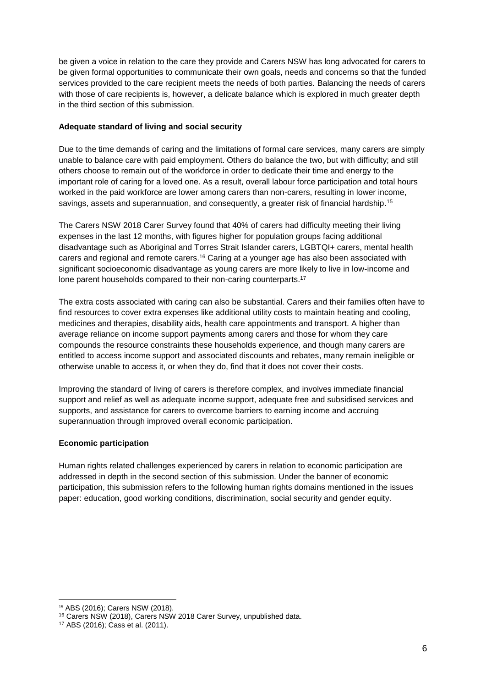be given a voice in relation to the care they provide and Carers NSW has long advocated for carers to be given formal opportunities to communicate their own goals, needs and concerns so that the funded services provided to the care recipient meets the needs of both parties. Balancing the needs of carers with those of care recipients is, however, a delicate balance which is explored in much greater depth in the third section of this submission.

### **Adequate standard of living and social security**

Due to the time demands of caring and the limitations of formal care services, many carers are simply unable to balance care with paid employment. Others do balance the two, but with difficulty; and still others choose to remain out of the workforce in order to dedicate their time and energy to the important role of caring for a loved one. As a result, overall labour force participation and total hours worked in the paid workforce are lower among carers than non-carers, resulting in lower income, savings, assets and superannuation, and consequently, a greater risk of financial hardship.<sup>15</sup>

The Carers NSW 2018 Carer Survey found that 40% of carers had difficulty meeting their living expenses in the last 12 months, with figures higher for population groups facing additional disadvantage such as Aboriginal and Torres Strait Islander carers, LGBTQI+ carers, mental health carers and regional and remote carers.<sup>16</sup> Caring at a younger age has also been associated with significant socioeconomic disadvantage as young carers are more likely to live in low-income and lone parent households compared to their non-caring counterparts.<sup>17</sup>

The extra costs associated with caring can also be substantial. Carers and their families often have to find resources to cover extra expenses like additional utility costs to maintain heating and cooling, medicines and therapies, disability aids, health care appointments and transport. A higher than average reliance on income support payments among carers and those for whom they care compounds the resource constraints these households experience, and though many carers are entitled to access income support and associated discounts and rebates, many remain ineligible or otherwise unable to access it, or when they do, find that it does not cover their costs.

Improving the standard of living of carers is therefore complex, and involves immediate financial support and relief as well as adequate income support, adequate free and subsidised services and supports, and assistance for carers to overcome barriers to earning income and accruing superannuation through improved overall economic participation.

#### **Economic participation**

Human rights related challenges experienced by carers in relation to economic participation are addressed in depth in the second section of this submission. Under the banner of economic participation, this submission refers to the following human rights domains mentioned in the issues paper: education, good working conditions, discrimination, social security and gender equity.

-

<sup>15</sup> ABS (2016); Carers NSW (2018).

<sup>16</sup> Carers NSW (2018), Carers NSW 2018 Carer Survey, unpublished data.

<sup>17</sup> ABS (2016); Cass et al. (2011).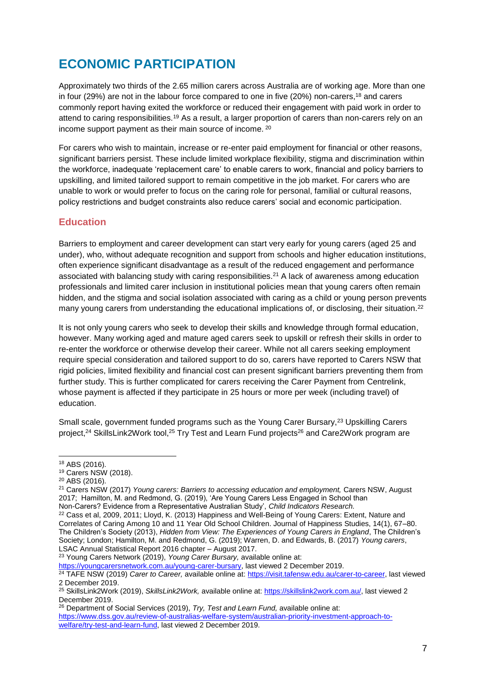# **ECONOMIC PARTICIPATION**

Approximately two thirds of the 2.65 million carers across Australia are of working age. More than one in four (29%) are not in the labour force compared to one in five (20%) non-carers,<sup>18</sup> and carers commonly report having exited the workforce or reduced their engagement with paid work in order to attend to caring responsibilities.<sup>19</sup> As a result, a larger proportion of carers than non-carers rely on an income support payment as their main source of income. <sup>20</sup>

For carers who wish to maintain, increase or re-enter paid employment for financial or other reasons, significant barriers persist. These include limited workplace flexibility, stigma and discrimination within the workforce, inadequate 'replacement care' to enable carers to work, financial and policy barriers to upskilling, and limited tailored support to remain competitive in the job market. For carers who are unable to work or would prefer to focus on the caring role for personal, familial or cultural reasons, policy restrictions and budget constraints also reduce carers' social and economic participation.

## **Education**

Barriers to employment and career development can start very early for young carers (aged 25 and under), who, without adequate recognition and support from schools and higher education institutions, often experience significant disadvantage as a result of the reduced engagement and performance associated with balancing study with caring responsibilities.<sup>21</sup> A lack of awareness among education professionals and limited carer inclusion in institutional policies mean that young carers often remain hidden, and the stigma and social isolation associated with caring as a child or young person prevents many young carers from understanding the educational implications of, or disclosing, their situation.<sup>22</sup>

It is not only young carers who seek to develop their skills and knowledge through formal education, however. Many working aged and mature aged carers seek to upskill or refresh their skills in order to re-enter the workforce or otherwise develop their career. While not all carers seeking employment require special consideration and tailored support to do so, carers have reported to Carers NSW that rigid policies, limited flexibility and financial cost can present significant barriers preventing them from further study. This is further complicated for carers receiving the Carer Payment from Centrelink, whose payment is affected if they participate in 25 hours or more per week (including travel) of education.

Small scale, government funded programs such as the Young Carer Bursary,<sup>23</sup> Upskilling Carers project,<sup>24</sup> SkillsLink2Work tool,<sup>25</sup> Try Test and Learn Fund projects<sup>26</sup> and Care2Work program are

-

<sup>20</sup> ABS (2016).

<sup>21</sup> Carers NSW (2017) *Young carers: Barriers to accessing education and employment,* Carers NSW, August 2017; Hamilton, M. and Redmond, G. (2019), 'Are Young Carers Less Engaged in School than Non-Carers? Evidence from a Representative Australian Study', *Child Indicators Research.*

<sup>23</sup> Young Carers Network (2019), *Young Carer Bursary,* available online at:

[https://youngcarersnetwork.com.au/young-carer-bursary,](https://youngcarersnetwork.com.au/young-carer-bursary) last viewed 2 December 2019.

<sup>18</sup> ABS (2016).

<sup>19</sup> Carers NSW (2018).

<sup>&</sup>lt;sup>22</sup> Cass et al, 2009, 2011; Lloyd, K. (2013) Happiness and Well-Being of Young Carers: Extent, Nature and Correlates of Caring Among 10 and 11 Year Old School Children. Journal of Happiness Studies, 14(1), 67–80. The Children's Society (2013), *Hidden from View: The Experiences of Young Carers in England*, The Children's Society; London; Hamilton, M. and Redmond, G. (2019); Warren, D. and Edwards, B. (2017) *Young carers*, LSAC Annual Statistical Report 2016 chapter – August 2017.

<sup>24</sup> TAFE NSW (2019) *Carer to Career,* available online at: [https://visit.tafensw.edu.au/carer-to-career,](https://visit.tafensw.edu.au/carer-to-career) last viewed 2 December 2019.

<sup>25</sup> SkillsLink2Work (2019), *SkillsLink2Work,* available online at: [https://skillslink2work.com.au/,](https://skillslink2work.com.au/) last viewed 2 December 2019.

<sup>26</sup> Department of Social Services (2019), *Try, Test and Learn Fund,* available online at: [https://www.dss.gov.au/review-of-australias-welfare-system/australian-priority-investment-approach-to](https://www.dss.gov.au/review-of-australias-welfare-system/australian-priority-investment-approach-to-welfare/try-test-and-learn-fund)[welfare/try-test-and-learn-fund,](https://www.dss.gov.au/review-of-australias-welfare-system/australian-priority-investment-approach-to-welfare/try-test-and-learn-fund) last viewed 2 December 2019.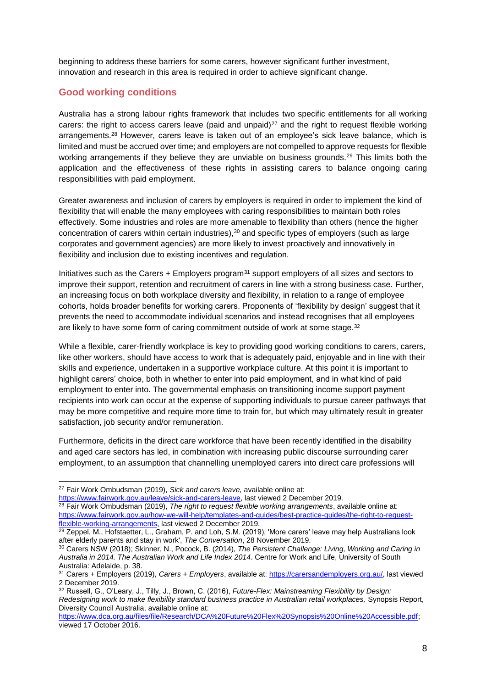beginning to address these barriers for some carers, however significant further investment, innovation and research in this area is required in order to achieve significant change.

## **Good working conditions**

Australia has a strong labour rights framework that includes two specific entitlements for all working carers: the right to access carers leave (paid and unpaid) $27$  and the right to request flexible working arrangements.<sup>28</sup> However, carers leave is taken out of an employee's sick leave balance, which is limited and must be accrued over time; and employers are not compelled to approve requests for flexible working arrangements if they believe they are unviable on business grounds.<sup>29</sup> This limits both the application and the effectiveness of these rights in assisting carers to balance ongoing caring responsibilities with paid employment.

Greater awareness and inclusion of carers by employers is required in order to implement the kind of flexibility that will enable the many employees with caring responsibilities to maintain both roles effectively. Some industries and roles are more amenable to flexibility than others (hence the higher concentration of carers within certain industries),<sup>30</sup> and specific types of employers (such as large corporates and government agencies) are more likely to invest proactively and innovatively in flexibility and inclusion due to existing incentives and regulation.

Initiatives such as the Carers  $+$  Employers program<sup>31</sup> support employers of all sizes and sectors to improve their support, retention and recruitment of carers in line with a strong business case. Further, an increasing focus on both workplace diversity and flexibility, in relation to a range of employee cohorts, holds broader benefits for working carers. Proponents of 'flexibility by design' suggest that it prevents the need to accommodate individual scenarios and instead recognises that all employees are likely to have some form of caring commitment outside of work at some stage. $32$ 

While a flexible, carer-friendly workplace is key to providing good working conditions to carers, carers, like other workers, should have access to work that is adequately paid, enjoyable and in line with their skills and experience, undertaken in a supportive workplace culture. At this point it is important to highlight carers' choice, both in whether to enter into paid employment, and in what kind of paid employment to enter into. The governmental emphasis on transitioning income support payment recipients into work can occur at the expense of supporting individuals to pursue career pathways that may be more competitive and require more time to train for, but which may ultimately result in greater satisfaction, job security and/or remuneration.

Furthermore, deficits in the direct care workforce that have been recently identified in the disability and aged care sectors has led, in combination with increasing public discourse surrounding carer employment, to an assumption that channelling unemployed carers into direct care professions will

-

<sup>27</sup> Fair Work Ombudsman (2019), *Sick and carers leave,* available online at:

[https://www.fairwork.gov.au/leave/sick-and-carers-leave,](https://www.fairwork.gov.au/leave/sick-and-carers-leave) last viewed 2 December 2019.

<sup>28</sup> Fair Work Ombudsman (2019), *The right to request flexible working arrangements*, available online at: [https://www.fairwork.gov.au/how-we-will-help/templates-and-guides/best-practice-guides/the-right-to-request](https://www.fairwork.gov.au/how-we-will-help/templates-and-guides/best-practice-guides/the-right-to-request-flexible-working-arrangements)[flexible-working-arrangements,](https://www.fairwork.gov.au/how-we-will-help/templates-and-guides/best-practice-guides/the-right-to-request-flexible-working-arrangements) last viewed 2 December 2019.

 $\frac{29}{29}$  Zeppel, M., Hofstaetter, L., Graham, P. and Loh, S.M. (2019), 'More carers' leave may help Australians look after elderly parents and stay in work', *The Conversation*, 28 November 2019.

<sup>30</sup> Carers NSW (2018); Skinner, N., Pocock, B. (2014), *The Persistent Challenge: Living, Working and Caring in Australia in 2014. The Australian Work and Life Index 2014*. Centre for Work and Life, University of South Australia: Adelaide, p. 38.

<sup>31</sup> Carers + Employers (2019), *Carers + Employers*, available at: [https://carersandemployers.org.au/,](https://carersandemployers.org.au/) last viewed 2 December 2019.

<sup>32</sup> Russell, G., O'Leary, J., Tilly, J., Brown, C. (2016), *Future-Flex: Mainstreaming Flexibility by Design: Redesigning work to make flexibility standard business practice in Australian retail workplaces,* Synopsis Report, Diversity Council Australia, available online at:

[https://www.dca.org.au/files/file/Research/DCA%20Future%20Flex%20Synopsis%20Online%20Accessible.pdf;](https://www.dca.org.au/files/file/Research/DCA%20Future%20Flex%20Synopsis%20Online%20Accessible.pdf) viewed 17 October 2016.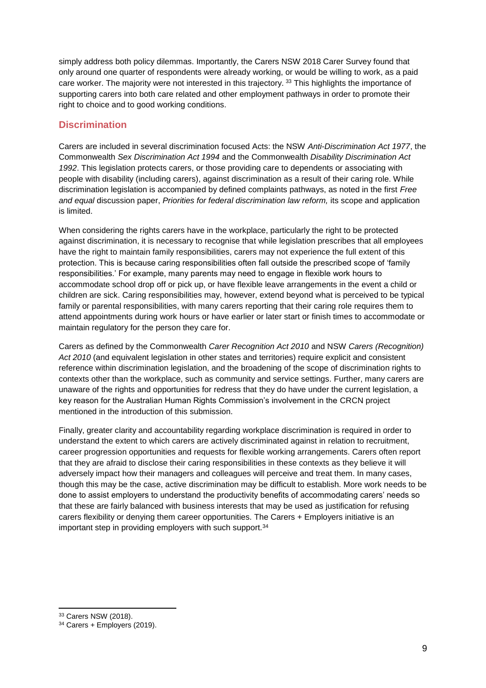simply address both policy dilemmas. Importantly, the Carers NSW 2018 Carer Survey found that only around one quarter of respondents were already working, or would be willing to work, as a paid care worker. The majority were not interested in this trajectory. 33 This highlights the importance of supporting carers into both care related and other employment pathways in order to promote their right to choice and to good working conditions.

## **Discrimination**

Carers are included in several discrimination focused Acts: the NSW *Anti-Discrimination Act 1977*, the Commonwealth *Sex Discrimination Act 1994* and the Commonwealth *Disability Discrimination Act 1992*. This legislation protects carers, or those providing care to dependents or associating with people with disability (including carers), against discrimination as a result of their caring role. While discrimination legislation is accompanied by defined complaints pathways, as noted in the first *Free and equal* discussion paper, *Priorities for federal discrimination law reform,* its scope and application is limited.

When considering the rights carers have in the workplace, particularly the right to be protected against discrimination, it is necessary to recognise that while legislation prescribes that all employees have the right to maintain family responsibilities, carers may not experience the full extent of this protection. This is because caring responsibilities often fall outside the prescribed scope of 'family responsibilities.' For example, many parents may need to engage in flexible work hours to accommodate school drop off or pick up, or have flexible leave arrangements in the event a child or children are sick. Caring responsibilities may, however, extend beyond what is perceived to be typical family or parental responsibilities, with many carers reporting that their caring role requires them to attend appointments during work hours or have earlier or later start or finish times to accommodate or maintain regulatory for the person they care for.

Carers as defined by the Commonwealth *Carer Recognition Act 2010* and NSW *Carers (Recognition) Act 2010* (and equivalent legislation in other states and territories) require explicit and consistent reference within discrimination legislation, and the broadening of the scope of discrimination rights to contexts other than the workplace, such as community and service settings. Further, many carers are unaware of the rights and opportunities for redress that they do have under the current legislation, a key reason for the Australian Human Rights Commission's involvement in the CRCN project mentioned in the introduction of this submission.

Finally, greater clarity and accountability regarding workplace discrimination is required in order to understand the extent to which carers are actively discriminated against in relation to recruitment, career progression opportunities and requests for flexible working arrangements. Carers often report that they are afraid to disclose their caring responsibilities in these contexts as they believe it will adversely impact how their managers and colleagues will perceive and treat them. In many cases, though this may be the case, active discrimination may be difficult to establish. More work needs to be done to assist employers to understand the productivity benefits of accommodating carers' needs so that these are fairly balanced with business interests that may be used as justification for refusing carers flexibility or denying them career opportunities. The Carers + Employers initiative is an important step in providing employers with such support.<sup>34</sup>

 $\overline{a}$ 

<sup>33</sup> Carers NSW (2018).

<sup>34</sup> Carers + Employers (2019).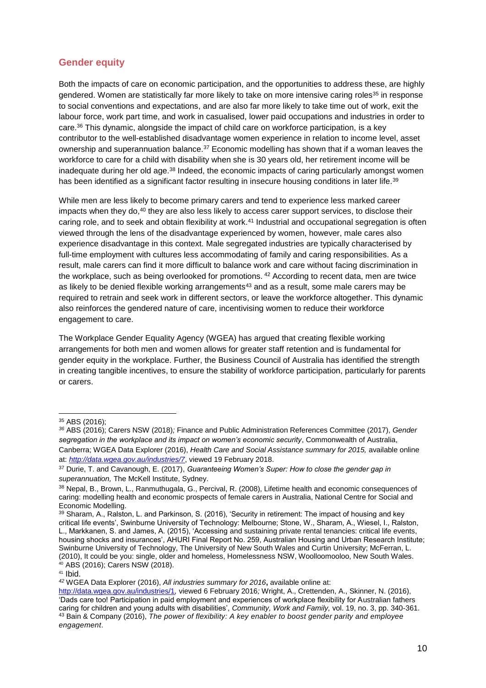## **Gender equity**

Both the impacts of care on economic participation, and the opportunities to address these, are highly gendered. Women are statistically far more likely to take on more intensive caring roles<sup>35</sup> in response to social conventions and expectations, and are also far more likely to take time out of work, exit the labour force, work part time, and work in casualised, lower paid occupations and industries in order to care.<sup>36</sup> This dynamic, alongside the impact of child care on workforce participation, is a key contributor to the well-established disadvantage women experience in relation to income level, asset ownership and superannuation balance.<sup>37</sup> Economic modelling has shown that if a woman leaves the workforce to care for a child with disability when she is 30 years old, her retirement income will be inadequate during her old age.<sup>38</sup> Indeed, the economic impacts of caring particularly amongst women has been identified as a significant factor resulting in insecure housing conditions in later life.<sup>39</sup>

While men are less likely to become primary carers and tend to experience less marked career impacts when they do,<sup>40</sup> they are also less likely to access carer support services, to disclose their caring role, and to seek and obtain flexibility at work.<sup>41</sup> Industrial and occupational segregation is often viewed through the lens of the disadvantage experienced by women, however, male cares also experience disadvantage in this context. Male segregated industries are typically characterised by full-time employment with cultures less accommodating of family and caring responsibilities. As a result, male carers can find it more difficult to balance work and care without facing discrimination in the workplace, such as being overlooked for promotions. <sup>42</sup> According to recent data, men are twice as likely to be denied flexible working arrangements $43$  and as a result, some male carers may be required to retrain and seek work in different sectors, or leave the workforce altogether. This dynamic also reinforces the gendered nature of care, incentivising women to reduce their workforce engagement to care.

The Workplace Gender Equality Agency (WGEA) has argued that creating flexible working arrangements for both men and women allows for greater staff retention and is fundamental for gender equity in the workplace. Further, the Business Council of Australia has identified the strength in creating tangible incentives, to ensure the stability of workforce participation, particularly for parents or carers.

-

<sup>35</sup> ABS (2016);

*<sup>36</sup>* ABS (2016); Carers NSW (2018)*;* Finance and Public Administration References Committee (2017), *Gender segregation in the workplace and its impact on women's economic security*, Commonwealth of Australia, Canberra; WGEA Data Explorer (2016), *Health Care and Social Assistance summary for 2015,* available online at: *<http://data.wgea.gov.au/industries/7>*, viewed 19 February 2018.

<sup>37</sup> Durie, T. and Cavanough, E. (2017), *Guaranteeing Women's Super: How to close the gender gap in superannuation,* The McKell Institute, Sydney.

<sup>38</sup> Nepal, B., Brown, L., Ranmuthugala, G., Percival, R. (2008), Lifetime health and economic consequences of caring: modelling health and economic prospects of female carers in Australia, National Centre for Social and Economic Modelling.

<sup>39</sup> Sharam, A., Ralston, L. and Parkinson, S. (2016), 'Security in retirement: The impact of housing and key critical life events', Swinburne University of Technology: Melbourne; Stone, W., Sharam, A., Wiesel, I., Ralston, L., Markkanen, S. and James, A. (2015), 'Accessing and sustaining private rental tenancies: critical life events, housing shocks and insurances', AHURI Final Report No. 259, Australian Housing and Urban Research Institute; Swinburne University of Technology, The University of New South Wales and Curtin University; McFerran, L. (2010), It could be you: single, older and homeless, Homelessness NSW, Woolloomooloo, New South Wales. <sup>40</sup> ABS (2016); Carers NSW (2018).

<sup>41</sup> Ibid.

*<sup>42</sup>* WGEA Data Explorer (2016), *All industries summary for 2016***,** available online at:

<http://data.wgea.gov.au/industries/1>*,* viewed 6 February 2016*;* Wright, A., Crettenden, A., Skinner, N. (2016), 'Dads care too! Participation in paid employment and experiences of workplace flexibility for Australian fathers caring for children and young adults with disabilities', *Community, Work and Family,* vol. 19, no. 3, pp. 340-361. <sup>43</sup> Bain & Company (2016), *The power of flexibility: A key enabler to boost gender parity and employee engagement*.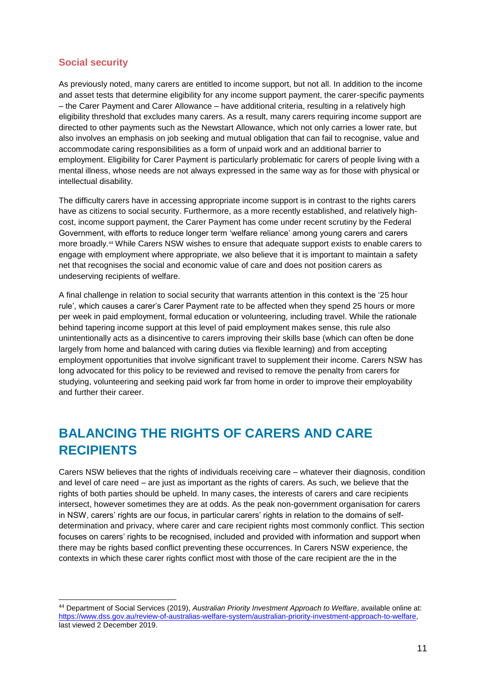## **Social security**

-

As previously noted, many carers are entitled to income support, but not all. In addition to the income and asset tests that determine eligibility for any income support payment, the carer-specific payments – the Carer Payment and Carer Allowance – have additional criteria, resulting in a relatively high eligibility threshold that excludes many carers. As a result, many carers requiring income support are directed to other payments such as the Newstart Allowance, which not only carries a lower rate, but also involves an emphasis on job seeking and mutual obligation that can fail to recognise, value and accommodate caring responsibilities as a form of unpaid work and an additional barrier to employment. Eligibility for Carer Payment is particularly problematic for carers of people living with a mental illness, whose needs are not always expressed in the same way as for those with physical or intellectual disability.

The difficulty carers have in accessing appropriate income support is in contrast to the rights carers have as citizens to social security. Furthermore, as a more recently established, and relatively highcost, income support payment, the Carer Payment has come under recent scrutiny by the Federal Government, with efforts to reduce longer term 'welfare reliance' among young carers and carers more broadly.<sup>44</sup> While Carers NSW wishes to ensure that adequate support exists to enable carers to engage with employment where appropriate, we also believe that it is important to maintain a safety net that recognises the social and economic value of care and does not position carers as undeserving recipients of welfare.

A final challenge in relation to social security that warrants attention in this context is the '25 hour rule', which causes a carer's Carer Payment rate to be affected when they spend 25 hours or more per week in paid employment, formal education or volunteering, including travel. While the rationale behind tapering income support at this level of paid employment makes sense, this rule also unintentionally acts as a disincentive to carers improving their skills base (which can often be done largely from home and balanced with caring duties via flexible learning) and from accepting employment opportunities that involve significant travel to supplement their income. Carers NSW has long advocated for this policy to be reviewed and revised to remove the penalty from carers for studying, volunteering and seeking paid work far from home in order to improve their employability and further their career.

## **BALANCING THE RIGHTS OF CARERS AND CARE RECIPIENTS**

Carers NSW believes that the rights of individuals receiving care – whatever their diagnosis, condition and level of care need – are just as important as the rights of carers. As such, we believe that the rights of both parties should be upheld. In many cases, the interests of carers and care recipients intersect, however sometimes they are at odds. As the peak non-government organisation for carers in NSW, carers' rights are our focus, in particular carers' rights in relation to the domains of selfdetermination and privacy, where carer and care recipient rights most commonly conflict. This section focuses on carers' rights to be recognised, included and provided with information and support when there may be rights based conflict preventing these occurrences. In Carers NSW experience, the contexts in which these carer rights conflict most with those of the care recipient are the in the

<sup>44</sup> Department of Social Services (2019), *Australian Priority Investment Approach to Welfare*, available online at: [https://www.dss.gov.au/review-of-australias-welfare-system/australian-priority-investment-approach-to-welfare,](https://www.dss.gov.au/review-of-australias-welfare-system/australian-priority-investment-approach-to-welfare) last viewed 2 December 2019.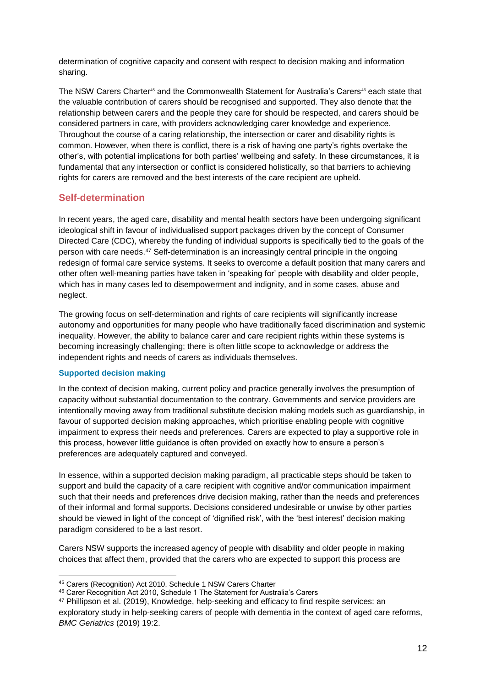determination of cognitive capacity and consent with respect to decision making and information sharing.

The NSW Carers Charter<sup>45</sup> and the Commonwealth Statement for Australia's Carers<sup>46</sup> each state that the valuable contribution of carers should be recognised and supported. They also denote that the relationship between carers and the people they care for should be respected, and carers should be considered partners in care, with providers acknowledging carer knowledge and experience. Throughout the course of a caring relationship, the intersection or carer and disability rights is common. However, when there is conflict, there is a risk of having one party's rights overtake the other's, with potential implications for both parties' wellbeing and safety. In these circumstances, it is fundamental that any intersection or conflict is considered holistically, so that barriers to achieving rights for carers are removed and the best interests of the care recipient are upheld.

## **Self-determination**

In recent years, the aged care, disability and mental health sectors have been undergoing significant ideological shift in favour of individualised support packages driven by the concept of Consumer Directed Care (CDC), whereby the funding of individual supports is specifically tied to the goals of the person with care needs. <sup>47</sup> Self-determination is an increasingly central principle in the ongoing redesign of formal care service systems. It seeks to overcome a default position that many carers and other often well-meaning parties have taken in 'speaking for' people with disability and older people, which has in many cases led to disempowerment and indignity, and in some cases, abuse and neglect.

The growing focus on self-determination and rights of care recipients will significantly increase autonomy and opportunities for many people who have traditionally faced discrimination and systemic inequality. However, the ability to balance carer and care recipient rights within these systems is becoming increasingly challenging; there is often little scope to acknowledge or address the independent rights and needs of carers as individuals themselves.

#### **Supported decision making**

In the context of decision making, current policy and practice generally involves the presumption of capacity without substantial documentation to the contrary. Governments and service providers are intentionally moving away from traditional substitute decision making models such as guardianship, in favour of supported decision making approaches, which prioritise enabling people with cognitive impairment to express their needs and preferences. Carers are expected to play a supportive role in this process, however little guidance is often provided on exactly how to ensure a person's preferences are adequately captured and conveyed.

In essence, within a supported decision making paradigm, all practicable steps should be taken to support and build the capacity of a care recipient with cognitive and/or communication impairment such that their needs and preferences drive decision making, rather than the needs and preferences of their informal and formal supports. Decisions considered undesirable or unwise by other parties should be viewed in light of the concept of 'dignified risk', with the 'best interest' decision making paradigm considered to be a last resort.

Carers NSW supports the increased agency of people with disability and older people in making choices that affect them, provided that the carers who are expected to support this process are

<sup>-</sup><sup>45</sup> Carers (Recognition) Act 2010, Schedule 1 NSW Carers Charter

<sup>46</sup> Carer Recognition Act 2010, Schedule 1 The Statement for Australia's Carers

<sup>47</sup> Phillipson et al. (2019), Knowledge, help-seeking and efficacy to find respite services: an exploratory study in help-seeking carers of people with dementia in the context of aged care reforms, *BMC Geriatrics* (2019) 19:2.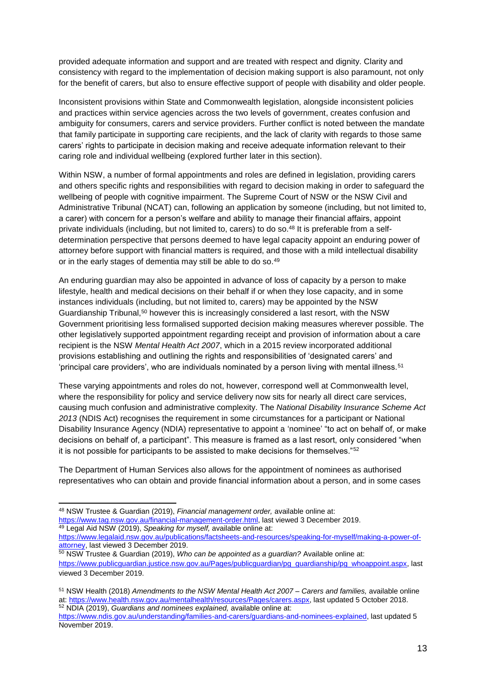provided adequate information and support and are treated with respect and dignity. Clarity and consistency with regard to the implementation of decision making support is also paramount, not only for the benefit of carers, but also to ensure effective support of people with disability and older people.

Inconsistent provisions within State and Commonwealth legislation, alongside inconsistent policies and practices within service agencies across the two levels of government, creates confusion and ambiguity for consumers, carers and service providers. Further conflict is noted between the mandate that family participate in supporting care recipients, and the lack of clarity with regards to those same carers' rights to participate in decision making and receive adequate information relevant to their caring role and individual wellbeing (explored further later in this section).

Within NSW, a number of formal appointments and roles are defined in legislation, providing carers and others specific rights and responsibilities with regard to decision making in order to safeguard the wellbeing of people with cognitive impairment. The Supreme Court of NSW or the NSW Civil and Administrative Tribunal (NCAT) can, following an application by someone (including, but not limited to, a carer) with concern for a person's welfare and ability to manage their financial affairs, appoint private individuals (including, but not limited to, carers) to do so.<sup>48</sup> It is preferable from a selfdetermination perspective that persons deemed to have legal capacity appoint an enduring power of attorney before support with financial matters is required, and those with a mild intellectual disability or in the early stages of dementia may still be able to do so.<sup>49</sup>

An enduring guardian may also be appointed in advance of loss of capacity by a person to make lifestyle, health and medical decisions on their behalf if or when they lose capacity, and in some instances individuals (including, but not limited to, carers) may be appointed by the NSW Guardianship Tribunal,<sup>50</sup> however this is increasingly considered a last resort, with the NSW Government prioritising less formalised supported decision making measures wherever possible. The other legislatively supported appointment regarding receipt and provision of information about a care recipient is the NSW *Mental Health Act 2007*, which in a 2015 review incorporated additional provisions establishing and outlining the rights and responsibilities of 'designated carers' and 'principal care providers', who are individuals nominated by a person living with mental illness.<sup>51</sup>

These varying appointments and roles do not, however, correspond well at Commonwealth level, where the responsibility for policy and service delivery now sits for nearly all direct care services, causing much confusion and administrative complexity. The *National Disability Insurance Scheme Act 2013* (NDIS Act) recognises the requirement in some circumstances for a participant or National Disability Insurance Agency (NDIA) representative to appoint a 'nominee' "to act on behalf of, or make decisions on behalf of, a participant". This measure is framed as a last resort, only considered "when it is not possible for participants to be assisted to make decisions for themselves."<sup>52</sup>

The Department of Human Services also allows for the appointment of nominees as authorised representatives who can obtain and provide financial information about a person, and in some cases

[https://www.legalaid.nsw.gov.au/publications/factsheets-and-resources/speaking-for-myself/making-a-power-of](https://www.legalaid.nsw.gov.au/publications/factsheets-and-resources/speaking-for-myself/making-a-power-of-attorney)[attorney,](https://www.legalaid.nsw.gov.au/publications/factsheets-and-resources/speaking-for-myself/making-a-power-of-attorney) last viewed 3 December 2019.

<sup>50</sup> NSW Trustee & Guardian (2019), *Who can be appointed as a guardian?* Available online at: [https://www.publicguardian.justice.nsw.gov.au/Pages/publicguardian/pg\\_guardianship/pg\\_whoappoint.aspx,](https://www.publicguardian.justice.nsw.gov.au/Pages/publicguardian/pg_guardianship/pg_whoappoint.aspx) last viewed 3 December 2019.

<sup>-</sup><sup>48</sup> NSW Trustee & Guardian (2019), *Financial management order,* available online at: [https://www.tag.nsw.gov.au/financial-management-order.html,](https://www.tag.nsw.gov.au/financial-management-order.html) last viewed 3 December 2019. <sup>49</sup> Legal Aid NSW (2019), *Speaking for myself,* available online at:

<sup>51</sup> NSW Health (2018) *Amendments to the NSW Mental Health Act 2007 – Carers and families,* available online at[: https://www.health.nsw.gov.au/mentalhealth/resources/Pages/carers.aspx,](https://www.health.nsw.gov.au/mentalhealth/resources/Pages/carers.aspx) last updated 5 October 2018. <sup>52</sup> NDIA (2019), *Guardians and nominees explained,* available online at:

[https://www.ndis.gov.au/understanding/families-and-carers/guardians-and-nominees-explained,](https://www.ndis.gov.au/understanding/families-and-carers/guardians-and-nominees-explained) last updated 5 November 2019.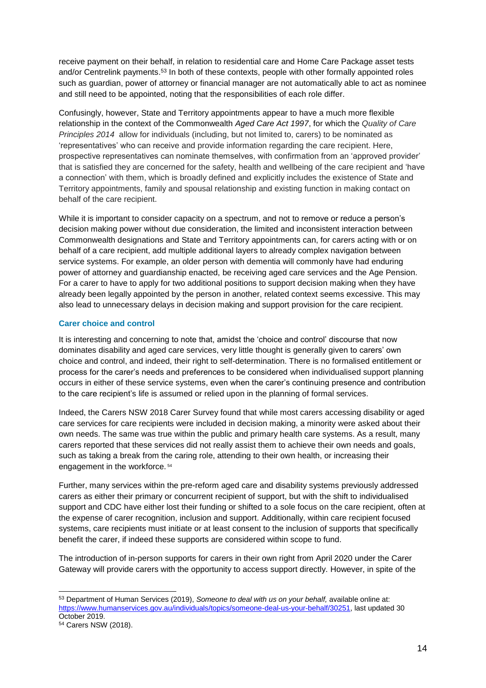receive payment on their behalf, in relation to residential care and Home Care Package asset tests and/or Centrelink payments.<sup>53</sup> In both of these contexts, people with other formally appointed roles such as guardian, power of attorney or financial manager are not automatically able to act as nominee and still need to be appointed, noting that the responsibilities of each role differ.

Confusingly, however, State and Territory appointments appear to have a much more flexible relationship in the context of the Commonwealth *Aged Care Act 1997*, for which the *Quality of Care Principles 2014* allow for individuals (including, but not limited to, carers) to be nominated as 'representatives' who can receive and provide information regarding the care recipient. Here, prospective representatives can nominate themselves, with confirmation from an 'approved provider' that is satisfied they are concerned for the safety, health and wellbeing of the care recipient and 'have a connection' with them, which is broadly defined and explicitly includes the existence of State and Territory appointments, family and spousal relationship and existing function in making contact on behalf of the care recipient.

While it is important to consider capacity on a spectrum, and not to remove or reduce a person's decision making power without due consideration, the limited and inconsistent interaction between Commonwealth designations and State and Territory appointments can, for carers acting with or on behalf of a care recipient, add multiple additional layers to already complex navigation between service systems. For example, an older person with dementia will commonly have had enduring power of attorney and guardianship enacted, be receiving aged care services and the Age Pension. For a carer to have to apply for two additional positions to support decision making when they have already been legally appointed by the person in another, related context seems excessive. This may also lead to unnecessary delays in decision making and support provision for the care recipient.

### **Carer choice and control**

It is interesting and concerning to note that, amidst the 'choice and control' discourse that now dominates disability and aged care services, very little thought is generally given to carers' own choice and control, and indeed, their right to self-determination. There is no formalised entitlement or process for the carer's needs and preferences to be considered when individualised support planning occurs in either of these service systems, even when the carer's continuing presence and contribution to the care recipient's life is assumed or relied upon in the planning of formal services.

Indeed, the Carers NSW 2018 Carer Survey found that while most carers accessing disability or aged care services for care recipients were included in decision making, a minority were asked about their own needs. The same was true within the public and primary health care systems. As a result, many carers reported that these services did not really assist them to achieve their own needs and goals, such as taking a break from the caring role, attending to their own health, or increasing their engagement in the workforce. <sup>54</sup>

Further, many services within the pre-reform aged care and disability systems previously addressed carers as either their primary or concurrent recipient of support, but with the shift to individualised support and CDC have either lost their funding or shifted to a sole focus on the care recipient, often at the expense of carer recognition, inclusion and support. Additionally, within care recipient focused systems, care recipients must initiate or at least consent to the inclusion of supports that specifically benefit the carer, if indeed these supports are considered within scope to fund.

The introduction of in-person supports for carers in their own right from April 2020 under the Carer Gateway will provide carers with the opportunity to access support directly. However, in spite of the

<sup>-</sup><sup>53</sup> Department of Human Services (2019), *Someone to deal with us on your behalf,* available online at: [https://www.humanservices.gov.au/individuals/topics/someone-deal-us-your-behalf/30251,](https://www.humanservices.gov.au/individuals/topics/someone-deal-us-your-behalf/30251) last updated 30 October 2019.

<sup>54</sup> Carers NSW (2018).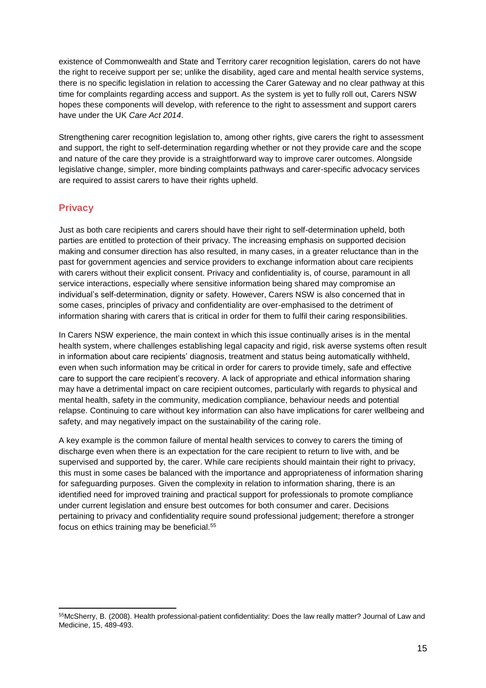existence of Commonwealth and State and Territory carer recognition legislation, carers do not have the right to receive support per se; unlike the disability, aged care and mental health service systems, there is no specific legislation in relation to accessing the Carer Gateway and no clear pathway at this time for complaints regarding access and support. As the system is yet to fully roll out, Carers NSW hopes these components will develop, with reference to the right to assessment and support carers have under the UK *Care Act 2014*.

Strengthening carer recognition legislation to, among other rights, give carers the right to assessment and support, the right to self-determination regarding whether or not they provide care and the scope and nature of the care they provide is a straightforward way to improve carer outcomes. Alongside legislative change, simpler, more binding complaints pathways and carer-specific advocacy services are required to assist carers to have their rights upheld.

### **Privacy**

 $\overline{a}$ 

Just as both care recipients and carers should have their right to self-determination upheld, both parties are entitled to protection of their privacy. The increasing emphasis on supported decision making and consumer direction has also resulted, in many cases, in a greater reluctance than in the past for government agencies and service providers to exchange information about care recipients with carers without their explicit consent. Privacy and confidentiality is, of course, paramount in all service interactions, especially where sensitive information being shared may compromise an individual's self-determination, dignity or safety. However, Carers NSW is also concerned that in some cases, principles of privacy and confidentiality are over-emphasised to the detriment of information sharing with carers that is critical in order for them to fulfil their caring responsibilities.

In Carers NSW experience, the main context in which this issue continually arises is in the mental health system, where challenges establishing legal capacity and rigid, risk averse systems often result in information about care recipients' diagnosis, treatment and status being automatically withheld, even when such information may be critical in order for carers to provide timely, safe and effective care to support the care recipient's recovery. A lack of appropriate and ethical information sharing may have a detrimental impact on care recipient outcomes, particularly with regards to physical and mental health, safety in the community, medication compliance, behaviour needs and potential relapse. Continuing to care without key information can also have implications for carer wellbeing and safety, and may negatively impact on the sustainability of the caring role.

A key example is the common failure of mental health services to convey to carers the timing of discharge even when there is an expectation for the care recipient to return to live with, and be supervised and supported by, the carer. While care recipients should maintain their right to privacy, this must in some cases be balanced with the importance and appropriateness of information sharing for safeguarding purposes. Given the complexity in relation to information sharing, there is an identified need for improved training and practical support for professionals to promote compliance under current legislation and ensure best outcomes for both consumer and carer. Decisions pertaining to privacy and confidentiality require sound professional judgement; therefore a stronger focus on ethics training may be beneficial.<sup>55</sup>

<sup>55</sup>McSherry, B. (2008). Health professional-patient confidentiality: Does the law really matter? Journal of Law and Medicine, 15, 489-493.